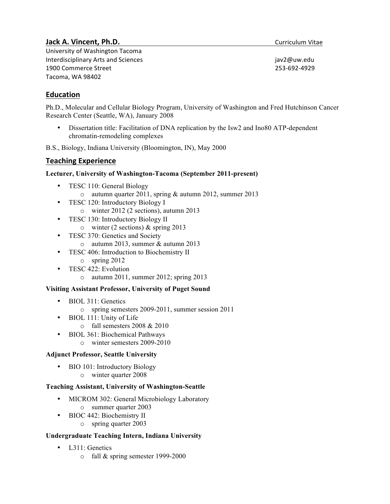# **Jack A. Vincent, Ph.D. Curriculum** Vitae

University of Washington Tacoma Interdisciplinary Arts and Sciences interdisciplinary Arts and Sciences jav2@uw.edu 1900 Commerce Street 253-692-4929 Tacoma, WA 98402

# **Education**

Ph.D., Molecular and Cellular Biology Program, University of Washington and Fred Hutchinson Cancer Research Center (Seattle, WA), January 2008

• Dissertation title: Facilitation of DNA replication by the Isw2 and Ino80 ATP-dependent chromatin-remodeling complexes

B.S., Biology, Indiana University (Bloomington, IN), May 2000

## **Teaching Experience**

### **Lecturer, University of Washington-Tacoma (September 2011-present)**

- TESC 110: General Biology
	- o autumn quarter 2011, spring & autumn 2012, summer 2013
- TESC 120: Introductory Biology I
	- o winter 2012 (2 sections), autumn 2013
- TESC 130: Introductory Biology II
	- o winter (2 sections) & spring 2013
- TESC 370: Genetics and Society
	- o autumn 2013, summer & autumn 2013
- TESC 406: Introduction to Biochemistry II
	- o spring 2012
- TESC 422: Evolution
	- o autumn 2011, summer 2012; spring 2013

### **Visiting Assistant Professor, University of Puget Sound**

- BIOL 311: Genetics
	- o spring semesters 2009-2011, summer session 2011
- BIOL 111: Unity of Life
	- o fall semesters 2008 & 2010
- BIOL 361: Biochemical Pathways
	- o winter semesters 2009-2010

### **Adjunct Professor, Seattle University**

• BIO 101: Introductory Biology o winter quarter 2008

### **Teaching Assistant, University of Washington-Seattle**

- MICROM 302: General Microbiology Laboratory o summer quarter 2003
- BIOC 442: Biochemistry II
	- o spring quarter 2003

### **Undergraduate Teaching Intern, Indiana University**

- L<sub>311</sub>: Genetics
	- o fall & spring semester 1999-2000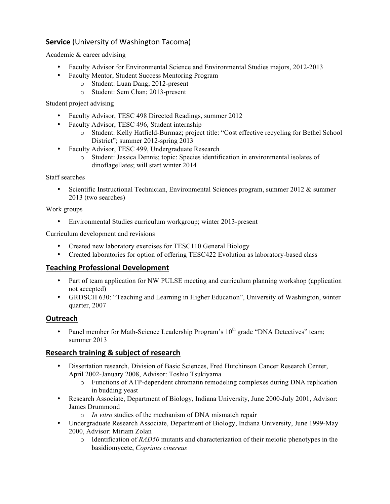# **Service** (University of Washington Tacoma)

Academic & career advising

- Faculty Advisor for Environmental Science and Environmental Studies majors, 2012-2013
- Faculty Mentor, Student Success Mentoring Program
	- o Student: Luan Dang; 2012-present
	- o Student: Sem Chan; 2013-present

Student project advising

- Faculty Advisor, TESC 498 Directed Readings, summer 2012
- Faculty Advisor, TESC 496, Student internship
	- o Student: Kelly Hatfield-Burmaz; project title: "Cost effective recycling for Bethel School District"; summer 2012-spring 2013
- Faculty Advisor, TESC 499, Undergraduate Research
	- o Student: Jessica Dennis; topic: Species identification in environmental isolates of dinoflagellates; will start winter 2014

Staff searches

• Scientific Instructional Technician, Environmental Sciences program, summer 2012 & summer 2013 (two searches)

### Work groups

• Environmental Studies curriculum workgroup; winter 2013-present

Curriculum development and revisions

- Created new laboratory exercises for TESC110 General Biology
- Created laboratories for option of offering TESC422 Evolution as laboratory-based class

## **Teaching Professional Development**

- Part of team application for NW PULSE meeting and curriculum planning workshop (application not accepted)
- GRDSCH 630: "Teaching and Learning in Higher Education", University of Washington, winter quarter, 2007

## **Outreach**

Panel member for Math-Science Leadership Program's  $10<sup>th</sup>$  grade "DNA Detectives" team; summer 2013

## **Research training & subject of research**

- Dissertation research, Division of Basic Sciences, Fred Hutchinson Cancer Research Center, April 2002-January 2008, Advisor: Toshio Tsukiyama
	- o Functions of ATP-dependent chromatin remodeling complexes during DNA replication in budding yeast
- Research Associate, Department of Biology, Indiana University, June 2000-July 2001, Advisor: James Drummond
	- o *In vitro* studies of the mechanism of DNA mismatch repair
- Undergraduate Research Associate, Department of Biology, Indiana University, June 1999-May 2000, Advisor: Miriam Zolan
	- o Identification of *RAD50* mutants and characterization of their meiotic phenotypes in the basidiomycete, *Coprinus cinereus*